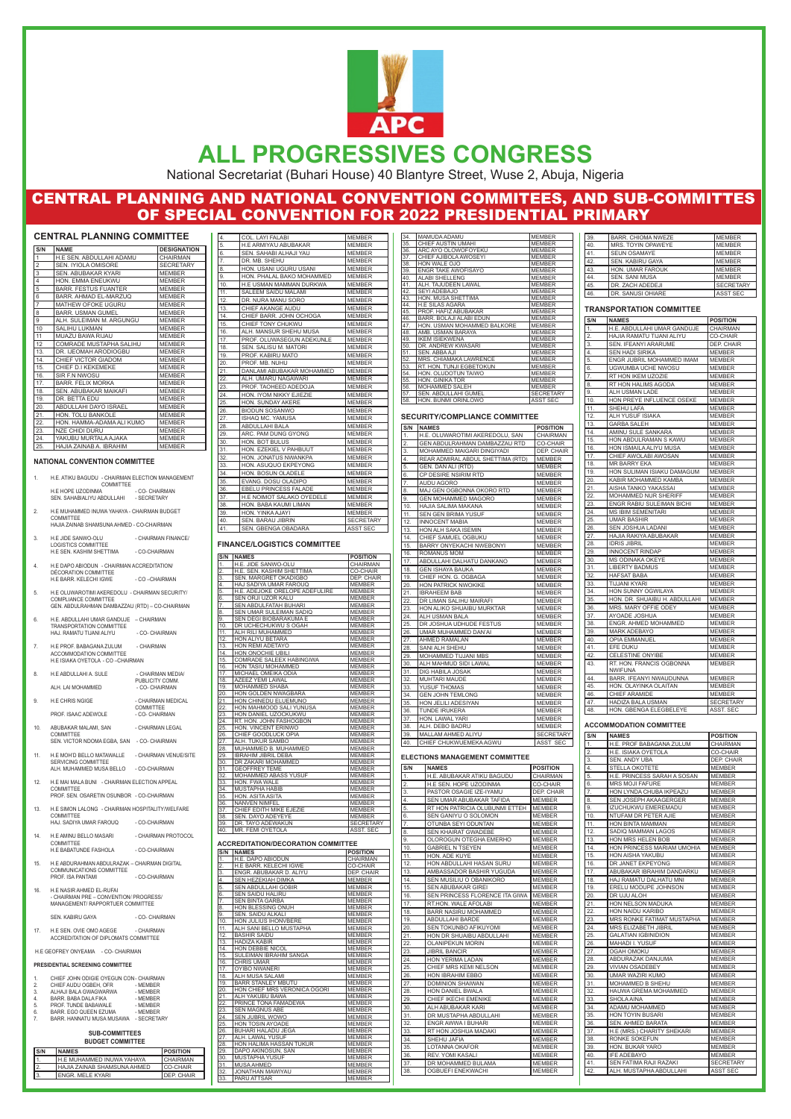#### **NATIONAL CONVENTION COMMITTEE**

- 1. H.E. ATIKU BAGUDU CHAIRMAN ELECTION MANAGEMENT COMMITTEE H.E HOPE UZODINMA - CO- CHAIRMAN SEN. SAHABIALIYU ABDULLAHI - SECRETARY
- 2. H.E MUHAMMED INUWA YAHAYA CHAIRMAN BUDGET COMMITTEE HAJIA ZAINAB SHAMSUNA AHMED - CO-CHAIRMAN
- 3. H.E JIDE SANWO-OLU CHAIRMAN FINANCE/ LOGISTICS COMMITTEE H.E SEN. KASHIM SHETTIMA - CO-CHAIRMAN
- 4. H.E DAPO ABIODUN CHAIRMAN ACCREDITATION/ DÉCORATION COMMITTEE H.E BARR. KELECHI IGWE - CO-CHAIRMAN
- 5. H.E OLUWAROTIMI AKEREDOLU CHAIRMAN SECURITY/ COMPLIANCE COMMITTEE GEN. ABDULRAHMAN DAMBAZZAU (RTD) – CO-CHAIRMAN
- 6. H.E. ABDULLAHI UMAR GANDUJE CHAIRMAN TRANSPORTATION COMMITTEE HAJ. RAMATU TIJANI ALIYU - CO- CHAIRMAN
- 7. H.E PROF. BABAGANA ZULUM CHAIRMAN ACCOMMODATION COMMITTEE H.E ISIAKA OYETOLA - CO –CHAIRMAN
- 8. H.E ABDULLAHI A. SULE CHAIRMAN MEDIA/ PUBLICITY COMM. ALH. LAI MOHAMMED
- 9. H.E CHRIS NGIGE CHAIRMAN MEDICAL COMMITTEE<br>- CO- CHAIRMAN PROF. ISAAC ADEWOLE
- 10. ABUBAKAR MALAMI, SAN CHAIRMAN LEGAL COMMITTEE SEN. VICTOR NDOMA EGBA, SAN - CO- CHAIRMAN
- 11. H.E MOH'D BELLO MATAWALLE CHAIRMAN VENUE/SITE SERVICING COMMITTEE ALH. MUHAMMED MUSA BELLO - CO-CHAIRMAN
- 12. H.E MAI MALA BUNI CHAIRMAN ELECTION APPEAL COMMITTEE PROF. SEN. OSARETIN OSUNBOR - CO-CHAIRMAN
- 13. H.E SIMON LALONG CHAIRMAN HOSPITALITY/WELFARE COMMITTEE HAJ. SADIYA UMAR FAROUQ - CO-CHAIRMAN
- 14. H.E AMINU BELLO MASARI CHAIRMAN PROTOCOL COMMITTEE

17. H.E SEN. OVIE OMO AGEGE - CHAIRMAN ACCREDITATION OF DIPLOMATS COMMITTEE

| H.E BABATUNDE FASHOLA | - CO-CHAIRMAN |
|-----------------------|---------------|
|-----------------------|---------------|

| S/N            | <b>NAME</b>                    | <b>DESIGNATION</b> |
|----------------|--------------------------------|--------------------|
| 1              | H.E SEN. ABDULLAHI ADAMU       | <b>CHAIRMAN</b>    |
| $\overline{2}$ | SEN. IYIOLA OMISORE            | <b>SECRETARY</b>   |
| 3              | <b>SEN. ABUBAKAR KYARI</b>     | <b>MEMBER</b>      |
| $\overline{4}$ | HON. EMMA ENEUKWU              | <b>MEMBER</b>      |
| 5              | <b>BARR. FESTUS FUANTER</b>    | <b>MEMBER</b>      |
| 6              | BARR. AHMAD EL-MARZUO          | <b>MEMBER</b>      |
| $\overline{7}$ | <b>MATHEW OFOKE UGURU</b>      | <b>MEMBER</b>      |
| 8              | <b>BARR. USMAN GUMEL</b>       | <b>MEMBER</b>      |
| 9              | ALH. SULEIMAN M. ARGUNGU       | <b>MEMBER</b>      |
| 10             | <b>SALIHU LUKMAN</b>           | <b>MEMBER</b>      |
| 11             | MUAZU BAWA RIJAU               | <b>MEMBER</b>      |
| 12             | <b>COMRADE MUSTAPHA SALIHU</b> | <b>MEMBER</b>      |
| 13.            | DR. IJEOMAH ARODIOGBU          | <b>MEMBER</b>      |
| 14.            | CHIEF VICTOR GIADOM            | <b>MEMBER</b>      |
| 15.            | CHIEF D.I KEKEMEKE             | <b>MEMBER</b>      |
| 16.            | SIR F.N NWOSU                  | <b>MEMBER</b>      |
| 17.            | <b>BARR. FELIX MORKA</b>       | <b>MEMBER</b>      |
| 18.            | <b>SEN. ABUBAKAR MAIKAFI</b>   | <b>MEMBER</b>      |
| 19.            | DR. BETTA EDU                  | <b>MEMBER</b>      |
| 20.            | ABDULLAHI DAYO ISRAEL          | <b>MEMBER</b>      |
| 21.            | HON. TOLU BANKOLE              | <b>MEMBER</b>      |
| 22.            | HON. HAMMA-ADAMA ALI KUMO      | <b>MEMBER</b>      |
| 23.            | <b>NZE CHIDI DURU</b>          | <b>MEMBER</b>      |
| 24.            | YAKUBU MURTALA AJAKA           | <b>MEMBER</b>      |
| 25.            | HAJIA ZAINAB A. IBRAHIM        | <b>MEMBER</b>      |

- 15. H.E ABDURAHMAN ABDULRAZAK CHAIRMAN DIGITAL COMMUNICATIONS COMMITTEE PROF. ISA PANTAMI - CO-CHAIRMAN
- 16. H.E NASIR AHMED EL-RUFAI CHAIRMAN PRE CONVENTION/ PROGRESS/ MANAGEMENT/ RAPPORTUER COMMITTEE

SEN. KABIRU GAYA - CO- CHAIRMAN

H.E GEOFREY ONYEAMA - CO- CHAIRMAN

#### **PRESIDENTIAL SCREENING COMMITTEE**

| 1. | CHIEF JOHN ODIGIE OYEGUN CON - CHAIRMAN |             |
|----|-----------------------------------------|-------------|
| 2. | CHIEF AUDU OGBEH, OFR                   | - MEMBER    |
| 3. | ALHAJI BALA GWAGWARWA                   | - MEMBER    |
| 4. | BARR. BABA DALA FIKA                    | - MEMBER    |
| 5. | PROF. TUNDE BABAWALE                    | - MEMBER    |
| 6. | BARR. EGO QUEEN EZUMA                   | - MEMBER    |
| 7. | BARR. HANNATU MUSA MUSAWA               | - SECRETARY |
|    |                                         |             |

#### **SUB-COMMITTEES BUDGET COMMITTEE**



# **ALL PROGRESSIVES CONGRESS**

National Secretariat (Buhari House) 40 Blantyre Street, Wuse 2, Abuja, Nigeria

# CENTRAL PLANNING AND NATIONAL CONVENTION COMMITEES, AND SUB-COMMITTES OF SPECIAL CONVENTION FOR 2022 PRESIDENTIAL PRIMARY

| S/N | <b>INAMES</b>                      | <b>IPOSITION</b>   |
|-----|------------------------------------|--------------------|
|     | <b>I</b> H.E MUHAMMED INUWA YAHAYA | <b>CHAIRMAN</b>    |
| Iž. | <b>HAJIA ZAINAB SHAMSUNA AHMED</b> | <b>ICO-CHAIR</b>   |
| Τз. | ENGR. MELE KYARI                   | <b>IDEP. CHAIR</b> |

| H.E. JIDE SANWO-OLU<br><b>CHAIRMAN</b><br>1.<br>$\overline{2}$ .<br>H.E. SEN. KASHIM SHETTIMA<br><b>CO-CHAIR</b><br>$\overline{3}$ .<br>SEN. MARGRET OKADIGBO<br>DEP. CHAIR<br>HAJ SADIYA UMAR FAROUQ<br>4.<br><b>MEMBER</b><br>5.<br>H.E. ADEJOKE ORELOPE ADEFULIRE<br><b>MEMBER</b><br>6.<br>SEN ORJI UZOR KALU<br><b>MEMBER</b><br>7.<br><b>SEN ABDULFATAH BUHARI</b><br><b>MEMBER</b><br>SEN UMAR SULEIMAN SADIQ<br>8.<br><b>MEMBER</b><br>9.<br>SEN DEGI BIOBARAKUMA E<br><b>MEMBER</b><br>DR UCHECHUKWU S OGAH<br>10.<br><b>MEMBER</b><br>11.<br>ALH RILI MUHAMMED<br><b>MEMBER</b><br>12.<br>HON ALIYU BETARA<br><b>MEMBER</b><br>13.<br>HON REMI ADETAYO<br><b>MEMBER</b><br>HON ONOCHIE UBILI<br>14.<br><b>MEMBER</b><br><b>COMRADE SALEEX HABINGIWA</b><br>15.<br><b>MEMBER</b><br>HON TASIU MOHAMMED<br>16.<br><b>MEMBER</b><br>MICHAEL OMEIKA ODIA<br>17.<br><b>MEMBER</b><br>18.<br><b>AZEEZ YEMI LAWAL</b><br><b>MEMBER</b><br><b>MOHAMMED SHABA</b><br>19.<br><b>MEMBER</b><br>HON GOLDEN NWAGBARA<br>20.<br><b>MEMBER</b><br>21.<br>HON CHINEDU ELUEMUNO<br><b>MEMBER</b><br>22.<br>HON MAHMOOD SALI YUNUSA<br><b>MEMBER</b><br>23.<br>HON DANIEL UZOCKUKWU<br><b>MEMBER</b><br>24.<br>RT. HON. JOHN FASHOGBON<br><b>MEMBER</b><br>25.<br>HON. VINCENT ERINWO<br><b>MEMBER</b><br>26.<br>CHIEF GOODLUCK OPIA<br><b>MEMBER</b><br>27.<br>ALH. TUKUR SAMBO<br><b>MEMBER</b><br>28.<br>MUHAMMED B. MUHAMMED<br><b>MEMBER</b><br><b>IBRAHIM JIBRIL DEBA</b><br>29.<br><b>MEMBER</b><br>30.<br>DR ZAKARI MOHAMMED<br><b>MEMBER</b><br><b>GEOFFREY TEME</b><br>31.<br><b>MEMBER</b><br>32.<br><b>MOHAMMED ABASS YUSUF</b><br><b>MEMBER</b><br>33.<br>HON. FWA WALE<br><b>MEMBER</b><br><b>MUSTAPHA HABIB</b><br><b>MEMBER</b><br>34.<br><b>HON. ASITA ASITA</b><br>35.<br><b>MEMBER</b><br>36.<br><b>NANVEN NIMFEL</b><br><b>MEMBER</b><br>CHIEF EDITH MIKE EJEZIE<br>37.<br><b>MEMBER</b><br>SEN. DAYO ADEYEYE<br>38.<br><b>MEMBER</b><br>DR. TAYO ADEWAKUN<br><b>SECRETARY</b><br>39.<br>MR. FEMI OYETOLA<br><b>ASST. SEC</b> | $\overline{\mathsf{S/N}}$ | <b>NAMES</b> | <b>POSITION</b> |
|-------------------------------------------------------------------------------------------------------------------------------------------------------------------------------------------------------------------------------------------------------------------------------------------------------------------------------------------------------------------------------------------------------------------------------------------------------------------------------------------------------------------------------------------------------------------------------------------------------------------------------------------------------------------------------------------------------------------------------------------------------------------------------------------------------------------------------------------------------------------------------------------------------------------------------------------------------------------------------------------------------------------------------------------------------------------------------------------------------------------------------------------------------------------------------------------------------------------------------------------------------------------------------------------------------------------------------------------------------------------------------------------------------------------------------------------------------------------------------------------------------------------------------------------------------------------------------------------------------------------------------------------------------------------------------------------------------------------------------------------------------------------------------------------------------------------------------------------------------------------------------------------------------------------------------------------------------------------------------------------------------------------------------------------|---------------------------|--------------|-----------------|
|                                                                                                                                                                                                                                                                                                                                                                                                                                                                                                                                                                                                                                                                                                                                                                                                                                                                                                                                                                                                                                                                                                                                                                                                                                                                                                                                                                                                                                                                                                                                                                                                                                                                                                                                                                                                                                                                                                                                                                                                                                           |                           |              |                 |
|                                                                                                                                                                                                                                                                                                                                                                                                                                                                                                                                                                                                                                                                                                                                                                                                                                                                                                                                                                                                                                                                                                                                                                                                                                                                                                                                                                                                                                                                                                                                                                                                                                                                                                                                                                                                                                                                                                                                                                                                                                           |                           |              |                 |
|                                                                                                                                                                                                                                                                                                                                                                                                                                                                                                                                                                                                                                                                                                                                                                                                                                                                                                                                                                                                                                                                                                                                                                                                                                                                                                                                                                                                                                                                                                                                                                                                                                                                                                                                                                                                                                                                                                                                                                                                                                           |                           |              |                 |
|                                                                                                                                                                                                                                                                                                                                                                                                                                                                                                                                                                                                                                                                                                                                                                                                                                                                                                                                                                                                                                                                                                                                                                                                                                                                                                                                                                                                                                                                                                                                                                                                                                                                                                                                                                                                                                                                                                                                                                                                                                           |                           |              |                 |
|                                                                                                                                                                                                                                                                                                                                                                                                                                                                                                                                                                                                                                                                                                                                                                                                                                                                                                                                                                                                                                                                                                                                                                                                                                                                                                                                                                                                                                                                                                                                                                                                                                                                                                                                                                                                                                                                                                                                                                                                                                           |                           |              |                 |
|                                                                                                                                                                                                                                                                                                                                                                                                                                                                                                                                                                                                                                                                                                                                                                                                                                                                                                                                                                                                                                                                                                                                                                                                                                                                                                                                                                                                                                                                                                                                                                                                                                                                                                                                                                                                                                                                                                                                                                                                                                           |                           |              |                 |
|                                                                                                                                                                                                                                                                                                                                                                                                                                                                                                                                                                                                                                                                                                                                                                                                                                                                                                                                                                                                                                                                                                                                                                                                                                                                                                                                                                                                                                                                                                                                                                                                                                                                                                                                                                                                                                                                                                                                                                                                                                           |                           |              |                 |
|                                                                                                                                                                                                                                                                                                                                                                                                                                                                                                                                                                                                                                                                                                                                                                                                                                                                                                                                                                                                                                                                                                                                                                                                                                                                                                                                                                                                                                                                                                                                                                                                                                                                                                                                                                                                                                                                                                                                                                                                                                           |                           |              |                 |
|                                                                                                                                                                                                                                                                                                                                                                                                                                                                                                                                                                                                                                                                                                                                                                                                                                                                                                                                                                                                                                                                                                                                                                                                                                                                                                                                                                                                                                                                                                                                                                                                                                                                                                                                                                                                                                                                                                                                                                                                                                           |                           |              |                 |
|                                                                                                                                                                                                                                                                                                                                                                                                                                                                                                                                                                                                                                                                                                                                                                                                                                                                                                                                                                                                                                                                                                                                                                                                                                                                                                                                                                                                                                                                                                                                                                                                                                                                                                                                                                                                                                                                                                                                                                                                                                           |                           |              |                 |
|                                                                                                                                                                                                                                                                                                                                                                                                                                                                                                                                                                                                                                                                                                                                                                                                                                                                                                                                                                                                                                                                                                                                                                                                                                                                                                                                                                                                                                                                                                                                                                                                                                                                                                                                                                                                                                                                                                                                                                                                                                           |                           |              |                 |
|                                                                                                                                                                                                                                                                                                                                                                                                                                                                                                                                                                                                                                                                                                                                                                                                                                                                                                                                                                                                                                                                                                                                                                                                                                                                                                                                                                                                                                                                                                                                                                                                                                                                                                                                                                                                                                                                                                                                                                                                                                           |                           |              |                 |
|                                                                                                                                                                                                                                                                                                                                                                                                                                                                                                                                                                                                                                                                                                                                                                                                                                                                                                                                                                                                                                                                                                                                                                                                                                                                                                                                                                                                                                                                                                                                                                                                                                                                                                                                                                                                                                                                                                                                                                                                                                           |                           |              |                 |
|                                                                                                                                                                                                                                                                                                                                                                                                                                                                                                                                                                                                                                                                                                                                                                                                                                                                                                                                                                                                                                                                                                                                                                                                                                                                                                                                                                                                                                                                                                                                                                                                                                                                                                                                                                                                                                                                                                                                                                                                                                           |                           |              |                 |
|                                                                                                                                                                                                                                                                                                                                                                                                                                                                                                                                                                                                                                                                                                                                                                                                                                                                                                                                                                                                                                                                                                                                                                                                                                                                                                                                                                                                                                                                                                                                                                                                                                                                                                                                                                                                                                                                                                                                                                                                                                           |                           |              |                 |
|                                                                                                                                                                                                                                                                                                                                                                                                                                                                                                                                                                                                                                                                                                                                                                                                                                                                                                                                                                                                                                                                                                                                                                                                                                                                                                                                                                                                                                                                                                                                                                                                                                                                                                                                                                                                                                                                                                                                                                                                                                           |                           |              |                 |
|                                                                                                                                                                                                                                                                                                                                                                                                                                                                                                                                                                                                                                                                                                                                                                                                                                                                                                                                                                                                                                                                                                                                                                                                                                                                                                                                                                                                                                                                                                                                                                                                                                                                                                                                                                                                                                                                                                                                                                                                                                           |                           |              |                 |
|                                                                                                                                                                                                                                                                                                                                                                                                                                                                                                                                                                                                                                                                                                                                                                                                                                                                                                                                                                                                                                                                                                                                                                                                                                                                                                                                                                                                                                                                                                                                                                                                                                                                                                                                                                                                                                                                                                                                                                                                                                           |                           |              |                 |
|                                                                                                                                                                                                                                                                                                                                                                                                                                                                                                                                                                                                                                                                                                                                                                                                                                                                                                                                                                                                                                                                                                                                                                                                                                                                                                                                                                                                                                                                                                                                                                                                                                                                                                                                                                                                                                                                                                                                                                                                                                           |                           |              |                 |
|                                                                                                                                                                                                                                                                                                                                                                                                                                                                                                                                                                                                                                                                                                                                                                                                                                                                                                                                                                                                                                                                                                                                                                                                                                                                                                                                                                                                                                                                                                                                                                                                                                                                                                                                                                                                                                                                                                                                                                                                                                           |                           |              |                 |
|                                                                                                                                                                                                                                                                                                                                                                                                                                                                                                                                                                                                                                                                                                                                                                                                                                                                                                                                                                                                                                                                                                                                                                                                                                                                                                                                                                                                                                                                                                                                                                                                                                                                                                                                                                                                                                                                                                                                                                                                                                           |                           |              |                 |
|                                                                                                                                                                                                                                                                                                                                                                                                                                                                                                                                                                                                                                                                                                                                                                                                                                                                                                                                                                                                                                                                                                                                                                                                                                                                                                                                                                                                                                                                                                                                                                                                                                                                                                                                                                                                                                                                                                                                                                                                                                           |                           |              |                 |
|                                                                                                                                                                                                                                                                                                                                                                                                                                                                                                                                                                                                                                                                                                                                                                                                                                                                                                                                                                                                                                                                                                                                                                                                                                                                                                                                                                                                                                                                                                                                                                                                                                                                                                                                                                                                                                                                                                                                                                                                                                           |                           |              |                 |
|                                                                                                                                                                                                                                                                                                                                                                                                                                                                                                                                                                                                                                                                                                                                                                                                                                                                                                                                                                                                                                                                                                                                                                                                                                                                                                                                                                                                                                                                                                                                                                                                                                                                                                                                                                                                                                                                                                                                                                                                                                           |                           |              |                 |
|                                                                                                                                                                                                                                                                                                                                                                                                                                                                                                                                                                                                                                                                                                                                                                                                                                                                                                                                                                                                                                                                                                                                                                                                                                                                                                                                                                                                                                                                                                                                                                                                                                                                                                                                                                                                                                                                                                                                                                                                                                           |                           |              |                 |
|                                                                                                                                                                                                                                                                                                                                                                                                                                                                                                                                                                                                                                                                                                                                                                                                                                                                                                                                                                                                                                                                                                                                                                                                                                                                                                                                                                                                                                                                                                                                                                                                                                                                                                                                                                                                                                                                                                                                                                                                                                           |                           |              |                 |
|                                                                                                                                                                                                                                                                                                                                                                                                                                                                                                                                                                                                                                                                                                                                                                                                                                                                                                                                                                                                                                                                                                                                                                                                                                                                                                                                                                                                                                                                                                                                                                                                                                                                                                                                                                                                                                                                                                                                                                                                                                           |                           |              |                 |
|                                                                                                                                                                                                                                                                                                                                                                                                                                                                                                                                                                                                                                                                                                                                                                                                                                                                                                                                                                                                                                                                                                                                                                                                                                                                                                                                                                                                                                                                                                                                                                                                                                                                                                                                                                                                                                                                                                                                                                                                                                           |                           |              |                 |
|                                                                                                                                                                                                                                                                                                                                                                                                                                                                                                                                                                                                                                                                                                                                                                                                                                                                                                                                                                                                                                                                                                                                                                                                                                                                                                                                                                                                                                                                                                                                                                                                                                                                                                                                                                                                                                                                                                                                                                                                                                           |                           |              |                 |
|                                                                                                                                                                                                                                                                                                                                                                                                                                                                                                                                                                                                                                                                                                                                                                                                                                                                                                                                                                                                                                                                                                                                                                                                                                                                                                                                                                                                                                                                                                                                                                                                                                                                                                                                                                                                                                                                                                                                                                                                                                           |                           |              |                 |
|                                                                                                                                                                                                                                                                                                                                                                                                                                                                                                                                                                                                                                                                                                                                                                                                                                                                                                                                                                                                                                                                                                                                                                                                                                                                                                                                                                                                                                                                                                                                                                                                                                                                                                                                                                                                                                                                                                                                                                                                                                           |                           |              |                 |
|                                                                                                                                                                                                                                                                                                                                                                                                                                                                                                                                                                                                                                                                                                                                                                                                                                                                                                                                                                                                                                                                                                                                                                                                                                                                                                                                                                                                                                                                                                                                                                                                                                                                                                                                                                                                                                                                                                                                                                                                                                           |                           |              |                 |
|                                                                                                                                                                                                                                                                                                                                                                                                                                                                                                                                                                                                                                                                                                                                                                                                                                                                                                                                                                                                                                                                                                                                                                                                                                                                                                                                                                                                                                                                                                                                                                                                                                                                                                                                                                                                                                                                                                                                                                                                                                           |                           |              |                 |
|                                                                                                                                                                                                                                                                                                                                                                                                                                                                                                                                                                                                                                                                                                                                                                                                                                                                                                                                                                                                                                                                                                                                                                                                                                                                                                                                                                                                                                                                                                                                                                                                                                                                                                                                                                                                                                                                                                                                                                                                                                           |                           |              |                 |
|                                                                                                                                                                                                                                                                                                                                                                                                                                                                                                                                                                                                                                                                                                                                                                                                                                                                                                                                                                                                                                                                                                                                                                                                                                                                                                                                                                                                                                                                                                                                                                                                                                                                                                                                                                                                                                                                                                                                                                                                                                           |                           |              |                 |
|                                                                                                                                                                                                                                                                                                                                                                                                                                                                                                                                                                                                                                                                                                                                                                                                                                                                                                                                                                                                                                                                                                                                                                                                                                                                                                                                                                                                                                                                                                                                                                                                                                                                                                                                                                                                                                                                                                                                                                                                                                           |                           |              |                 |
|                                                                                                                                                                                                                                                                                                                                                                                                                                                                                                                                                                                                                                                                                                                                                                                                                                                                                                                                                                                                                                                                                                                                                                                                                                                                                                                                                                                                                                                                                                                                                                                                                                                                                                                                                                                                                                                                                                                                                                                                                                           |                           |              |                 |
|                                                                                                                                                                                                                                                                                                                                                                                                                                                                                                                                                                                                                                                                                                                                                                                                                                                                                                                                                                                                                                                                                                                                                                                                                                                                                                                                                                                                                                                                                                                                                                                                                                                                                                                                                                                                                                                                                                                                                                                                                                           |                           |              |                 |
|                                                                                                                                                                                                                                                                                                                                                                                                                                                                                                                                                                                                                                                                                                                                                                                                                                                                                                                                                                                                                                                                                                                                                                                                                                                                                                                                                                                                                                                                                                                                                                                                                                                                                                                                                                                                                                                                                                                                                                                                                                           |                           |              |                 |
|                                                                                                                                                                                                                                                                                                                                                                                                                                                                                                                                                                                                                                                                                                                                                                                                                                                                                                                                                                                                                                                                                                                                                                                                                                                                                                                                                                                                                                                                                                                                                                                                                                                                                                                                                                                                                                                                                                                                                                                                                                           | 40.                       |              |                 |

#### **ACCREDITATION/DECORATION COMMIT**

| 34. | <b>MAMUDA ADAMU</b>         | <b>MEMBER</b>    |
|-----|-----------------------------|------------------|
| 35. | <b>CHIEF AUSTIN UMAHI</b>   | <b>MEMBER</b>    |
| 36. | ARC AYO OLOWOFOYEKU         | <b>MEMBER</b>    |
| 37. | CHIEF AJIBOLA AWOSEYI       | <b>MEMBER</b>    |
| 38. | HON WALE OJO                | <b>MEMBER</b>    |
| 39. | <b>ENGR TAKE AWOFISAYO</b>  | <b>MEMBER</b>    |
| 40. | <b>ALABI SHELLENG</b>       | <b>MEMBER</b>    |
| 41. | ALH. TAJUDEEN LAWAL         | <b>MEMBER</b>    |
| 42. | SEYI ADEBAJO                | <b>MEMBER</b>    |
| 43. | HON. MUSA SHETTIMA          | <b>MEMBER</b>    |
| 44. | <b>H.E SILAS AGARA</b>      | <b>MEMBER</b>    |
| 45. | PROF. HAFIZ ABUBAKAR        | <b>MEMBER</b>    |
| 46. | BARR. BOLAJI ALABI EDUN     | <b>MEMBER</b>    |
| 47. | HON. USMAN MOHAMMED BALKORE | <b>MEMBER</b>    |
| 48. | AMB. USMAN BARAYA           | <b>MEMBER</b>    |
| 49. | <b>IKEM ISIEKWENA</b>       | <b>MEMBER</b>    |
| 50. | DR. ANDREW KWASARI          | <b>MEMBER</b>    |
| 51. | SEN. ABBA AJI               | <b>MEMBER</b>    |
| 52. | MRS. CHIAMAKA LAWRENCE      | <b>MEMBER</b>    |
| 53. | RT. HON. TUNJI EGBETOKUN    | <b>MEMBER</b>    |
| 54. | HON, OLUDOTUN TAIWO         | <b>MEMBER</b>    |
| 55. | HON. GINIKA TOR             | <b>MEMBER</b>    |
| 56. | MOHAMMED SALEH              | <b>MEMBER</b>    |
| 57. | SEN. ABDULLAHI GUMEL        | <b>SECRETARY</b> |
| 58. | HON. BUNMI ORINLOWO         | <b>ASST SEC</b>  |

|                | HOOKEDITATION/DEOOKATION OOMINITTEE |                 |
|----------------|-------------------------------------|-----------------|
| S/N            | <b>NAMES</b>                        | <b>POSITION</b> |
| 1.             | H.E. DAPO ABIODUN                   | <b>CHAIRMAN</b> |
| $\overline{2}$ | H.E BARR. KELECHI IGWE              | CO-CHAIR        |
| $\overline{3}$ | ENGR. ABUBAKAR D. ALIYU             | DEP. CHAIR      |
| $\overline{4}$ | SEN HEZEKIAH DIMKA                  | <b>MEMBER</b>   |
| 5.             | <b>SEN ABDULLAHI GOBIR</b>          | <b>MEMBER</b>   |
| 6.             | <b>SEN SAIDU HALIRU</b>             | <b>MEMBER</b>   |
| $\overline{7}$ | <b>SEN BINTA GARBA</b>              | <b>MEMBER</b>   |
| 8.             | HON BLESSING ONUH                   | <b>MEMBER</b>   |
| 9.             | <b>SEN. SAIDU ALKALI</b>            | <b>MEMBER</b>   |
| 10.            | HON JULIUS IHONVBERE                | <b>MEMBER</b>   |
| 11.            | ALH SANI BELLO MUSTAPHA             | <b>MEMBER</b>   |
| 12.            | <b>BASHIR SAIDU</b>                 | <b>MEMBER</b>   |
| 13.            | <b>HADIZA KABIR</b>                 | <b>MEMBER</b>   |
| 14.            | <b>HON DEBBIE NICOL</b>             | <b>MEMBER</b>   |
| 15.            | SULEIMAN IBRAHIM SANGA              | <b>MEMBER</b>   |
| 16.            | <b>CHRIS UMAR</b>                   | <b>MEMBER</b>   |
| 17.            | <b>OYIBO NWANERI</b>                | <b>MEMBER</b>   |
| 18.            | <b>ALH MUSA SALAMI</b>              | <b>MEMBER</b>   |
| 19.            | <b>BARR STANLEY MBUTU</b>           | <b>MEMBER</b>   |
| 20.            | HON CHIEF MRS VERONICA OGORI        | <b>MEMBER</b>   |
| 21.            | ALH YAKUBU BAWA                     | <b>MEMBER</b>   |
| 22.            | PRINCE TONA FAMADEWA                | <b>MEMBER</b>   |
| 23.            | <b>SEN MAGNUS ABE</b>               | <b>MEMBER</b>   |
| 24.            | <b>SEN JUBRIL WOWO</b>              | <b>MEMBER</b>   |
| 25.            | HON TOSIN AYOADE                    | <b>MEMBER</b>   |
| 26.            | <b>BUHARI HALADU JEGA</b>           | <b>MEMBER</b>   |
| 27.            | ALH. LAWAL YUSUF                    | <b>MEMBER</b>   |
| 28.            | HON HALIMA HASSAN TUKUR             | <b>MEMBER</b>   |
| 29.            | DAPO AKINOSUN, SAN                  | <b>MEMBER</b>   |
| 30.            | <b>MUSTAPHA YUSUF</b>               | <b>MEMBER</b>   |
| 31.            | <b>MUSA AHMED</b>                   | <b>MEMBER</b>   |
| 32.            | <b>JONATHAN MAWIYAU</b>             | <b>MEMBER</b>   |
| 33.            | PARU ATTSAR                         | <b>MEMBER</b>   |

## **SECURITY/COMPLIANCE COMMITTEE**

| $\overline{\mathsf{S/N}}$ | <b>NAMES</b>                      | <b>POSITION</b>  |
|---------------------------|-----------------------------------|------------------|
| l 1.                      | H.E. OLUWAROTIMI AKEREDOLU, SAN   | <b>CHAIRMAN</b>  |
| 2.                        | GEN ABDULRAHMAN DAMBAZZAU RTD     | <b>CO-CHAIR</b>  |
| l 3.                      | MOHAMMED MAIGARI DINGIYADI        | DEP. CHAIR       |
| 14.                       | REAR ADMIRAL ABDUL SHETTIMA (RTD) | <b>MEMBER</b>    |
| 5.                        | <b>GEN. DAN ALI (RTD)</b>         | <b>MEMBER</b>    |
| 6.                        | CP DESIRE NSIRIM RTD              | <b>MEMBER</b>    |
| 7.                        | <b>AUDU AGORO</b>                 | <b>MEMBER</b>    |
| 8.                        | MAJ GEN OGBONNA OKORO RTD         | <b>MEMBER</b>    |
| 9.                        | <b>GEN MOHAMMED MAGORO</b>        | <b>MEMBER</b>    |
| 10.                       | <b>HAJIA SALIMA MAKANA</b>        | <b>MEMBER</b>    |
| 11.                       | <b>SEN GEN BRIMA YUSUF</b>        | <b>MEMBER</b>    |
| 12.                       | <b>INNOCENT MABIA</b>             | <b>MEMBER</b>    |
| 13.                       | HON ALH SAKA ISEMIN               | <b>MEMBER</b>    |
| 14.                       | CHIEF SAMUEL OGBUKU               | <b>MEMBER</b>    |
| 15.                       | BARRY ONYEKACHI NWEBONYI          | <b>MEMBER</b>    |
| 16.                       | <b>ROMANUS MOM</b>                | <b>MEMBER</b>    |
| 17.                       | ABDULLAHI DALHATU DANKANO         | <b>MEMBER</b>    |
| 18.                       | <b>GEN ISHAYA BAUKA</b>           | <b>MEMBER</b>    |
| 19.                       | CHIEF HON. G. OGBAGA              | <b>MEMBER</b>    |
| 20.                       | HON PATRICK NWOKIKE               | <b>MEMBER</b>    |
| 21.                       | <b>IBRAHEEM BAB</b>               | <b>MEMBER</b>    |
| 22.                       | DR LIMAN SALIHU MAIRAFI           | <b>MEMBER</b>    |
| 23.                       | HON ALIKO SHUAIBU MURKTAR         | <b>MEMBER</b>    |
| 24.                       | <b>ALH USMAN BALA</b>             | <b>MEMBER</b>    |
| 25.                       | DR JOSHUA UDHUDE FESTUS           | <b>MEMBER</b>    |
| 26.                       | UMAR MUHAMMED DAN'AI              | <b>MEMBER</b>    |
| 27.                       | <b>AHMED RAMALAN</b>              | <b>MEMBER</b>    |
| 28.                       | <b>SANI ALH SHEHU</b>             | <b>MEMBER</b>    |
| 29.                       | MOHAMMED TIJJANI MBS              | <b>MEMBER</b>    |
| 30.                       | ALH MAHMUD SIDI LAWAL             | <b>MEMBER</b>    |
| 31.                       | <b>DIG HABILA JOSAK</b>           | <b>MEMBER</b>    |
| 32.                       | <b>MUHTARI MAUDE</b>              | <b>MEMBER</b>    |
| 33.                       | YUSUF THOMAS                      | <b>MEMBER</b>    |
| 34.                       | <b>GEN JOHN TEMLONG</b>           | <b>MEMBER</b>    |
| 35.                       | <b>HON JELILI ADESIYAN</b>        | <b>MEMBER</b>    |
| 36.                       | <b>TUNDE IRUKERA</b>              | <b>MEMBER</b>    |
| 37.                       | HON. LAWAL YARI                   | <b>MEMBER</b>    |
| 38.                       | ALH. DEBO BADRU                   | <b>MEMBER</b>    |
| 39.                       | MALLAM AHMED ALIYU                | <b>SECRETARY</b> |
| 40.                       | CHIEF CHUKWUEMEKA AGWU            | <b>ASST SEC</b>  |

# **ELECTIONS MANAGEMENT COMMITTEE**

| S/N | <b>NAMES</b>                   | <b>POSITION</b> |
|-----|--------------------------------|-----------------|
| 1.  | H.E. ABUBAKAR ATIKU BAGUDU     | <b>CHAIRMAN</b> |
| 2.  | H.E SEN. HOPE UZODINMA         | <b>CO-CHAIR</b> |
| 3.  | PASTOR OSAGIE IZE-IYAMU        | DEP. CHAIR      |
| 4.  | SEN UMAR ABUBAKAR TAFIDA       | <b>MEMBER</b>   |
| 5.  | RT HON PATRICIA OLUBUNMI ETTEH | <b>MEMBER</b>   |
| 6.  | SEN GANIYU O SOLOMON           | <b>MEMBER</b>   |
| 7.  | OTUNBA SEYI ODUNTAN            | <b>MEMBER</b>   |
| 8.  | <b>SEN KHAIRAT GWADEBE</b>     | <b>MEMBER</b>   |
| 9.  | OLOROGUN OTEGHA EMERHO         | <b>MEMBER</b>   |
| 10. | <b>GABRIEL N TSEYEN</b>        | <b>MEMBER</b>   |
| 11. | HON. ADE KUYE                  | <b>MEMBER</b>   |
| 12. | HON ABDULLAHI HASAN SURU       | <b>MEMBER</b>   |
| 13. | AMBASSADOR BASHIR YUGUDA       | <b>MEMBER</b>   |
| 14. | SEN MUSILIU O OBANIKORO        | <b>MEMBER</b>   |
| 15. | SEN ABUBAKAR GIREI             | <b>MEMBER</b>   |
| 16. | SEN PRINCESS FLORENCE ITA GIWA | <b>MEMBER</b>   |
| 17. | RT.HON. WALE AFOLABI           | <b>MEMBER</b>   |
| 18. | <b>BARR NASIRU MOHAMMED</b>    | <b>MEMBER</b>   |
| 19. | ABDULLAHI BARDE                | <b>MEMBER</b>   |
| 20. | <b>SEN TOKUNBO AFIKUYOMI</b>   | <b>MEMBER</b>   |
| 21. | HON DR SHUAIBU ABDULLAHI       | <b>MEMBER</b>   |
| 22. | <b>OLANIPEKUN MORIN</b>        | <b>MEMBER</b>   |
| 23. | <b>JIBRIL BANCIR</b>           | <b>MEMBER</b>   |
| 24. | <b>HON YERIMA LADAN</b>        | <b>MEMBER</b>   |
| 25. | CHIEF MRS KEMI NELSON          | <b>MEMBER</b>   |
| 26. | <b>HON IBRAHIM EBBO</b>        | <b>MEMBER</b>   |
| 27. | <b>DOMINION SHAIWAN</b>        | <b>MEMBER</b>   |
| 28. | <b>HON DANIEL BWALA</b>        | <b>MEMBER</b>   |
| 29. | <b>CHIEF IKECHI EMENIKE</b>    | <b>MEMBER</b>   |
| 30. | ALH ABUBAKAR KARI              | <b>MEMBER</b>   |
| 31. | DR MUSTAPHA ABDULLAHI          | <b>MEMBER</b>   |
| 32. | ENGR AWWA I BUHARI             | <b>MEMBER</b>   |
| 33. | RT HON JOSHUA MADAKI           | <b>MEMBER</b>   |
| 34. | <b>SHEHU JAFIA</b>             | <b>MEMBER</b>   |
| 35. | <b>LOTANNA OKAFOR</b>          | <b>MEMBER</b>   |
| 36. | <b>REV. YOMI KASALI</b>        | <b>MEMBER</b>   |
| 37. | DR MOHAMMED BULAMA             | <b>MEMBER</b>   |
| 38. | <b>OGBUEFI ENEKWACHI</b>       | <b>MEMBER</b>   |

| 39. | <b>BARR. CHIOMA NWEZE</b> | <b>MEMBER</b>    |
|-----|---------------------------|------------------|
| 40. | MRS. TOYIN OPAWEYE        | <b>MEMBER</b>    |
| 41. | <b>SEUN OSAMAYE</b>       | <b>MEMBER</b>    |
| 42. | <b>SEN. KABIRU GAYA</b>   | <b>MEMBER</b>    |
| 43. | HON. UMAR FAROUK          | <b>MEMBER</b>    |
| 44. | <b>SEN. SANI MUSA</b>     | <b>MEMBER</b>    |
| 45. | DR. ZACH ADEDEJI          | <b>SECRETARY</b> |
| 46. | DR. SANUSI OHIARE         | <b>ASST SEC</b>  |

### **TRANSPORTATION COMMITTEE**

| S/N        | <b>NAMES</b>                               | <b>POSITION</b>                |
|------------|--------------------------------------------|--------------------------------|
| 1.         | H.E. ABDULLAHI UMAR GANDUJE                | CHAIRMAN                       |
| 2.         | HAJIA RAMATU TIJANI ALIYU                  | <b>CO-CHAIR</b>                |
| 3.         | <b>SEN. IFEANYI ARARUME</b>                | DEP. CHAIR                     |
| 4.         | <b>SEN HADI SIRIKA</b>                     | <b>MEMBER</b>                  |
| 5.         | ENGR JUBRIL MOHAMMED IMAM                  | <b>MEMBER</b>                  |
| 6.         | <b>UGWUMBA UCHE NWOSU</b>                  | <b>MEMBER</b>                  |
| 7.         | RT HON IKEM UZOZIE                         | <b>MEMBER</b>                  |
| 8.         | RT HON HALIMS AGODA                        | <b>MEMBER</b>                  |
| 9.         | ALH USMAN LADE                             | <b>MEMBER</b>                  |
| 10.        | HON PREYE INFLUENCE OSEKE                  | <b>MEMBER</b>                  |
| 11.        | <b>SHEHU LAFA</b>                          | <b>MEMBER</b>                  |
| 12.        | <b>ALH YUSUF ISIAKA</b>                    | <b>MEMBER</b>                  |
| 13.        | <b>GARBA SALEH</b>                         | <b>MEMBER</b>                  |
| 14.        | AMINU SULE SANKARA                         | <b>MEMBER</b>                  |
| 15.        | HON ABDULRAMAN S KAWU                      | <b>MEMBER</b>                  |
| 16.        | HON ISMAILA ALIYU MUSA                     | <b>MEMBER</b>                  |
| 17.        | CHIEF AWOLABI AWOSAN                       | <b>MEMBER</b>                  |
| 18.        | <b>MR BARRY EKA</b>                        | <b>MEMBER</b>                  |
| 19.        | HON SULIMAN ISIAKU DAMAGUM                 | <b>MEMBER</b>                  |
| 20.        | KABIR MOHAMMED KAMBA                       | <b>MEMBER</b>                  |
| 21.        | AISHA TANKO YAKASSAI                       | <b>MEMBER</b>                  |
| 22.        | MOHAMMED NUR SHERIFF                       | <b>MEMBER</b>                  |
| 23.        | ENGR RABIU SULEIMAN BICHI                  | <b>MEMBER</b>                  |
|            | <b>MS IBIM SEMENITARI</b>                  |                                |
| 24.<br>25. | <b>UMAR BASHIR</b>                         | <b>MEMBER</b><br><b>MEMBER</b> |
|            | SEN JOSHUA LADANI                          | <b>MEMBER</b>                  |
| 26.<br>27. | <b>HAJIA RAKIYA ABUBAKAR</b>               | <b>MEMBER</b>                  |
| 28.        | <b>IDRIS JIBRIL</b>                        | <b>MEMBER</b>                  |
|            |                                            |                                |
| 29.<br>30. | <b>INNOCENT RINDAP</b><br>MS ODINAKA OKEYE | <b>MEMBER</b><br><b>MEMBER</b> |
|            |                                            |                                |
| 31.        | <b>LIBERTY BADMUS</b>                      | <b>MEMBER</b>                  |
| 32.        | <b>HAFSAT BABA</b>                         | <b>MEMBER</b>                  |
| 33.        | TIJJANI KYARI                              | <b>MEMBER</b>                  |
| 34.        | HON SUNNY OGWILAYA                         | <b>MEMBER</b>                  |
| 35.        | HON. DR. SHUAIBU H. ABDULLAHI              | <b>MEMBER</b>                  |
| 36.        | MRS. MARY OFFIE ODEY                       | <b>MEMBER</b>                  |
| 37.        | AYOADE JOSHUA                              | <b>MEMBER</b>                  |
| 38.        | ENGR. AHMED MOHAMMED                       | <b>MEMBER</b>                  |
| 39.        | <b>MARK ADEBAYO</b>                        | <b>MEMBER</b>                  |
| 40.        | <b>OPIA EMMANUEL</b>                       | <b>MEMBER</b>                  |
| 41.        | EFE DUKU                                   | <b>MEMBER</b>                  |
| 42.        | <b>CELESTINE ONYIBE</b>                    | <b>MEMBER</b>                  |
| 43.        | RT. HON. FRANCIS OGBONNA<br><b>NWIFUNA</b> | <b>MEMBER</b>                  |
| 44.        | BARR. IFEANYI NWAUDUNNA                    | <b>MEMBER</b>                  |
| 45.        | HON. OLAYINKA OLAITAN                      | <b>MEMBER</b>                  |
| 46.        | <b>CHIEF ARAMIDE</b>                       | <b>MEMBER</b>                  |
| 47.        | <b>HADIZA BALA USMAN</b>                   | <b>SECRETARY</b>               |
| 48.        | HON. GBENGA ELEGBELEYE                     | ASST. SEC                      |

#### **ACCOMMODATION COMMITTEE**

| S/N            | <b>NAMES</b>                | <b>POSITION</b>  |
|----------------|-----------------------------|------------------|
| 1.             | H.E. PROF BABAGANA ZULUM    | <b>CHAIRMAN</b>  |
| $\overline{2}$ | H.E. ISIAKA OYETOLA         | <b>CO-CHAIR</b>  |
| 3.             | <b>SEN. ANDY UBA</b>        | DEP. CHAIR       |
| 4.             | <b>STELLA OKOTETE</b>       | <b>MEMBER</b>    |
| 5.             | H.E. PRINCESS SARAH A SOSAN | <b>MEMBER</b>    |
| 6.             | <b>MRS MOJI FAFURE</b>      | <b>MEMBER</b>    |
| 7.             | HON LYNDA CHUBA IKPEAZU     | <b>MEMBER</b>    |
| 8.             | SEN JOSEPH AKAAGERGER       | <b>MEMBER</b>    |
| 9.             | <b>IZUCHUKWU EMEREMADU</b>  | <b>MEMBER</b>    |
| 10.            | NTUFAM DR PETER AJIE        | <b>MEMBER</b>    |
| 11.            | HON BINTA MAMMAN            | <b>MEMBER</b>    |
| 12.            | SADIQ MAMMAN LAGOS          | <b>MEMBER</b>    |
| 13.            | HON MRS HELEN BOB           | <b>MEMBER</b>    |
| 14.            | HON PRINCESS MARIAM UMOHIA  | <b>MEMBER</b>    |
| 15.            | <b>HON AISHA YAKUBU</b>     | <b>MEMBER</b>    |
| 16.            | DR JANET EKPEYONG           | <b>MEMBER</b>    |
| 17.            | ABUBAKAR IBRAHIM DANDARKU   | <b>MEMBER</b>    |
| 18.            | HAJ RAMATU DALHATU MNI      | <b>MEMBER</b>    |
| 19.            | ERELU MODUPE JOHNSON        | <b>MEMBER</b>    |
| 20.            | DR UJU ALOH                 | <b>MEMBER</b>    |
| 21.            | HON NELSON MADUKA           | <b>MEMBER</b>    |
| 22.            | HON NAIDU KARIBO            | <b>MEMBER</b>    |
| 23.            | MRS RONKE FATIMAT MUSTAPHA  | <b>MEMBER</b>    |
| 24.            | MRS ELIZABETH JIBRIL        | <b>MEMBER</b>    |
| 25.            | <b>GALATIAN IGBINIDION</b>  | <b>MEMBER</b>    |
| 26.            | <b>MAHADI I. YUSUF</b>      | <b>MEMBER</b>    |
| 27.            | <b>OGAH OMOKU</b>           | <b>MEMBER</b>    |
| 28.            | ABDURAZAK DANJUMA           | <b>MEMBER</b>    |
| 29.            | <b>VIVIAN OSADEBEY</b>      | <b>MEMBER</b>    |
| 30.            | <b>UMAR WAZIRI KUMO</b>     | <b>MEMBER</b>    |
| 31.            | MOHAMMED B SHEHU            | <b>MEMBER</b>    |
| 32.            | <b>HAUWA GREMA MOHAMMED</b> | <b>MEMBER</b>    |
| 33.            | <b>SHOLA AINA</b>           | <b>MEMBER</b>    |
| 34.            | ADAMU MOHAMMED              | <b>MEMBER</b>    |
| 35.            | HON TOYIN BUSARI            | <b>MEMBER</b>    |
| 36.            | SEN. AHMED BARATA           | <b>MEMBER</b>    |
| 37.            | H.E (MRS.) CHARITY SHEKARI  | <b>MEMBER</b>    |
| 38.            | <b>RONKE SOKEFUN</b>        | <b>MEMBER</b>    |
| 39.            | HON. BUKAR YARO             | <b>MEMBER</b>    |
| 40.            | <b>IFE ADEBAYO</b>          | <b>MEMBER</b>    |
| 41.            | SEN FATIMA RAJI RAZAKI      | <b>SECRETARY</b> |
| 42.            | ALH. MUSTAPHA ABDULLAHI     | <b>ASST SEC</b>  |
|                |                             |                  |

| 4.  | COL. LAYI FALABI                 | MEMBER           |
|-----|----------------------------------|------------------|
| 5.  | H.E ARMIYA'U ABUBAKAR            | <b>MEMBER</b>    |
| 6.  | SEN. SAHABI ALHAJI YAU           | <b>MEMBER</b>    |
| 7.  | DR. MB. SHEHU                    | <b>MEMBER</b>    |
| 8.  | HON. USANI UGURU USANI           | <b>MEMBER</b>    |
| 9.  | HON. PHALAL BAKO MOHAMMED        | <b>MEMBER</b>    |
| 10. | H.E USMAN MAMMAN DURKWA          | <b>MEMBER</b>    |
| 11. | SALEEM SAIDU MALAMI              | <b>MEMBER</b>    |
| 12. | DR. NURA MANU SORO               | <b>MEMBER</b>    |
| 13. | CHIEF AKANGE AUDU                | <b>MEMBER</b>    |
| 14. | CHIEF BARR, JOHN OCHOGA          | <b>MEMBER</b>    |
| 15. | CHIEF TONY CHUKWU                | <b>MEMBER</b>    |
| 16. | ALH. MANSUR SHEHU MUSA           | <b>MEMBER</b>    |
| 17. | PROF. OLUWASEGUN ADEKUNLE        | <b>MEMBER</b>    |
| 18. | SEN. SALISU M. MATORI            | <b>MEMBER</b>    |
| 19. | PROF. KABIRU MATO                | <b>MEMBER</b>    |
| 20. | PROF. MB. NUHU                   | <b>MEMBER</b>    |
| 21. | DANLAMI ABUBAKAR MOHAMMED        | <b>MEMBER</b>    |
| 22. | ALH. UMARU NAGAWARI              | <b>MEMBER</b>    |
| 23. | PROF. TAOHEED ADEDOJA            | <b>MEMBER</b>    |
| 24. | HON. IYOM NIKKY EJIEZIE          | <b>MEMBER</b>    |
| 25. | HON. SUNDAY AKERE                | <b>MEMBER</b>    |
| 26. | <b>BIODUN SOSANWO</b>            | <b>MEMBER</b>    |
| 27. | <b>ISHAQ MC, YAMUSA</b>          | <b>MEMBER</b>    |
| 28. | ABDULLAHI BALA                   | <b>MEMBER</b>    |
| 29. | ARC. PAM DUNG GYONG              | <b>MEMBER</b>    |
| 30. | HON. BOT BULUS                   | <b>MEMBER</b>    |
| 31. | HON. EZEKIEL V PAHBUUT           | <b>MEMBER</b>    |
| 32. | HON. JONATUS NWANKPA             | <b>MEMBER</b>    |
| 33. | HON. ASUQUO EKPEYONG             | <b>MEMBER</b>    |
| 34. | HON. BOSUN OLADELE               | <b>MEMBER</b>    |
| 35. | EVANG. DOSU OLADIPO              | <b>MEMBER</b>    |
| 36. | <b>EBELU PRINCESS FALADE</b>     | <b>MEMBER</b>    |
| 37. | <b>H.E NOIMOT SALAKO OYEDELE</b> | <b>MEMBER</b>    |
| 38. | HON. BABA KAUMI LIMAN            | <b>MEMBER</b>    |
| 39. | HON. YINKA AJAYI                 | <b>MEMBER</b>    |
| 40. | <b>SEN. BARAU JIBRIN</b>         | <b>SECRETARY</b> |
| 41. | SEN. GBENGA OBADARA              | <b>ASST SEC</b>  |

#### **FINANCE/LOGISTICS COMMITTEE**